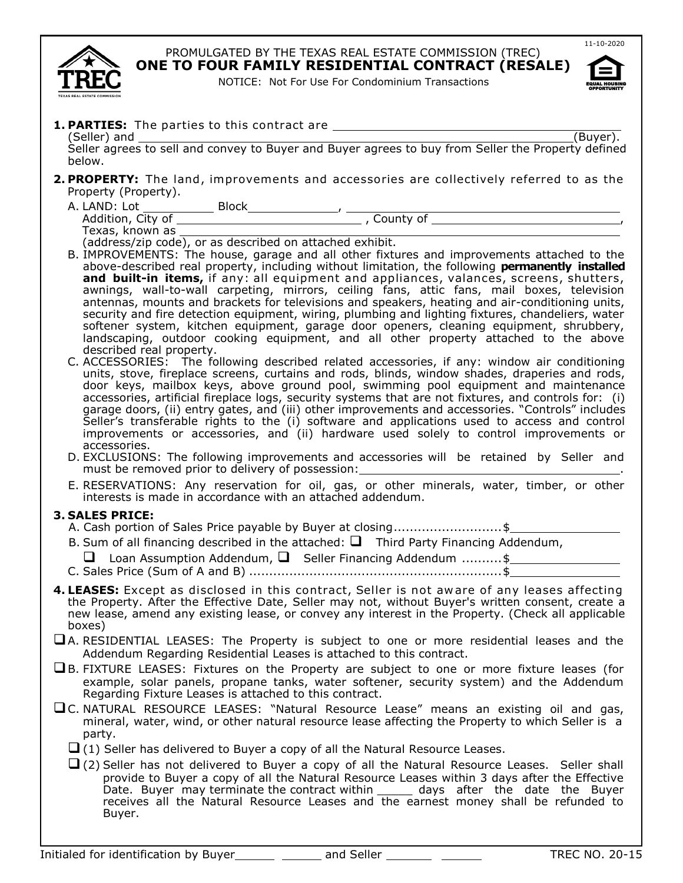

#### $\triangle$  11-10-2020 PROMULGATED BY THE TEXAS REAL ESTATE COMMISSION (TREC) **ONE TO FOUR FAMILY RESIDENTIAL CONTRACT (RESALE)**

NOTICE: Not For Use For Condominium Transactions

| below.                                                                                                                                                                                                                                                                                                                                                                                                                                                                                                                                                                                                                                                                                                                                                                                                        |
|---------------------------------------------------------------------------------------------------------------------------------------------------------------------------------------------------------------------------------------------------------------------------------------------------------------------------------------------------------------------------------------------------------------------------------------------------------------------------------------------------------------------------------------------------------------------------------------------------------------------------------------------------------------------------------------------------------------------------------------------------------------------------------------------------------------|
| 2. PROPERTY: The land, improvements and accessories are collectively referred to as the<br>Property (Property).                                                                                                                                                                                                                                                                                                                                                                                                                                                                                                                                                                                                                                                                                               |
|                                                                                                                                                                                                                                                                                                                                                                                                                                                                                                                                                                                                                                                                                                                                                                                                               |
|                                                                                                                                                                                                                                                                                                                                                                                                                                                                                                                                                                                                                                                                                                                                                                                                               |
| Texas, known as <b>CONSTANT CONSTANT TEXAS, known as</b> (address/zip code), or as described on attached exhibit.                                                                                                                                                                                                                                                                                                                                                                                                                                                                                                                                                                                                                                                                                             |
| B. IMPROVEMENTS: The house, garage and all other fixtures and improvements attached to the<br>above-described real property, including without limitation, the following permanently installed<br>and built-in items, if any: all equipment and appliances, valances, screens, shutters,<br>awnings, wall-to-wall carpeting, mirrors, ceiling fans, attic fans, mail boxes, television<br>antennas, mounts and brackets for televisions and speakers, heating and air-conditioning units,<br>security and fire detection equipment, wiring, plumbing and lighting fixtures, chandeliers, water<br>softener system, kitchen equipment, garage door openers, cleaning equipment, shrubbery,<br>landscaping, outdoor cooking equipment, and all other property attached to the above<br>described real property. |
| C. ACCESSORIES: The following described related accessories, if any: window air conditioning<br>units, stove, fireplace screens, curtains and rods, blinds, window shades, draperies and rods,<br>door keys, mailbox keys, above ground pool, swimming pool equipment and maintenance<br>accessories, artificial fireplace logs, security systems that are not fixtures, and controls for: (i)<br>garage doors, (ii) entry gates, and (iii) other improvements and accessories. "Controls" includes<br>Seller's transferable rights to the (i) software and applications used to access and control<br>improvements or accessories, and (ii) hardware used solely to control improvements or                                                                                                                  |
| accessories.<br>D. EXCLUSIONS: The following improvements and accessories will be retained by Seller and<br>must be removed prior to delivery of possession: _______________________________                                                                                                                                                                                                                                                                                                                                                                                                                                                                                                                                                                                                                  |
| E. RESERVATIONS: Any reservation for oil, gas, or other minerals, water, timber, or other<br>interests is made in accordance with an attached addendum.                                                                                                                                                                                                                                                                                                                                                                                                                                                                                                                                                                                                                                                       |
| <b>3. SALES PRICE:</b>                                                                                                                                                                                                                                                                                                                                                                                                                                                                                                                                                                                                                                                                                                                                                                                        |
| A. Cash portion of Sales Price payable by Buyer at closing\$                                                                                                                                                                                                                                                                                                                                                                                                                                                                                                                                                                                                                                                                                                                                                  |
| B. Sum of all financing described in the attached: $\Box$ Third Party Financing Addendum,                                                                                                                                                                                                                                                                                                                                                                                                                                                                                                                                                                                                                                                                                                                     |
|                                                                                                                                                                                                                                                                                                                                                                                                                                                                                                                                                                                                                                                                                                                                                                                                               |
| 4. LEASES: Except as disclosed in this contract, Seller is not aware of any leases affecting<br>the Property. After the Effective Date, Seller may not, without Buyer's written consent, create a<br>new lease, amend any existing lease, or convey any interest in the Property. (Check all applicable<br>boxes)                                                                                                                                                                                                                                                                                                                                                                                                                                                                                             |
| ■A. RESIDENTIAL LEASES: The Property is subject to one or more residential leases and the<br>Addendum Regarding Residential Leases is attached to this contract.                                                                                                                                                                                                                                                                                                                                                                                                                                                                                                                                                                                                                                              |
| ■B. FIXTURE LEASES: Fixtures on the Property are subject to one or more fixture leases (for<br>example, solar panels, propane tanks, water softener, security system) and the Addendum<br>Regarding Fixture Leases is attached to this contract.                                                                                                                                                                                                                                                                                                                                                                                                                                                                                                                                                              |
| <b>Q</b> C. NATURAL RESOURCE LEASES: "Natural Resource Lease" means an existing oil and gas,<br>mineral, water, wind, or other natural resource lease affecting the Property to which Seller is a<br>party.                                                                                                                                                                                                                                                                                                                                                                                                                                                                                                                                                                                                   |
| $\Box$ (1) Seller has delivered to Buyer a copy of all the Natural Resource Leases.                                                                                                                                                                                                                                                                                                                                                                                                                                                                                                                                                                                                                                                                                                                           |
| $\Box$ (2) Seller has not delivered to Buyer a copy of all the Natural Resource Leases. Seller shall<br>provide to Buyer a copy of all the Natural Resource Leases within 3 days after the Effective<br>Date. Buyer may terminate the contract within _______ days after the date the Buyer<br>receives all the Natural Resource Leases and the earnest money shall be refunded to<br>Buyer.                                                                                                                                                                                                                                                                                                                                                                                                                  |
|                                                                                                                                                                                                                                                                                                                                                                                                                                                                                                                                                                                                                                                                                                                                                                                                               |

EQUAL HOUSING OPPORTUNITY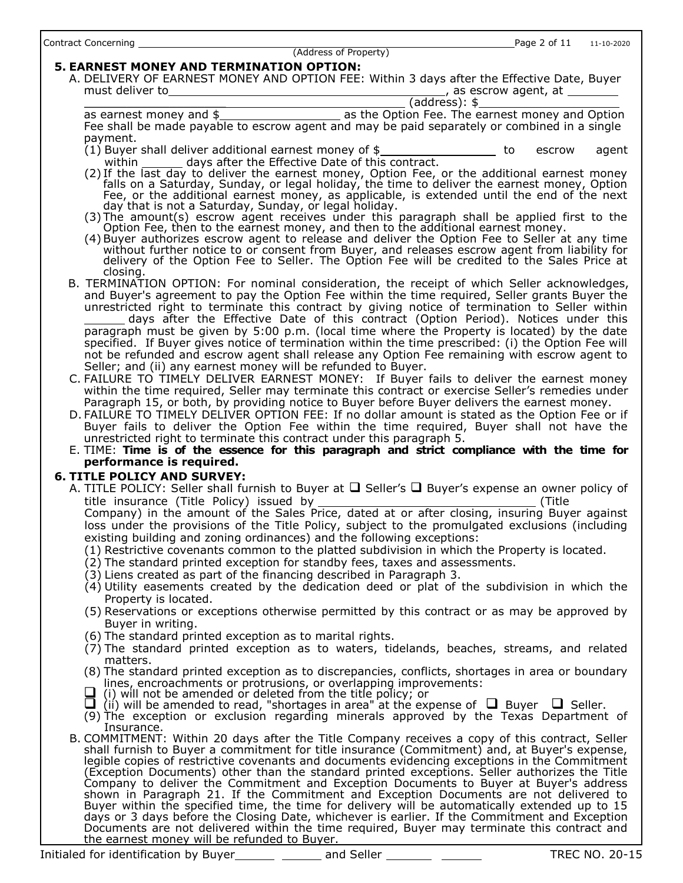| Contract Concerning |  |
|---------------------|--|
|                     |  |

# **5. EARNEST MONEY AND TERMINATION OPTION:**

A. DELIVERY OF EARNEST MONEY AND OPTION FEE: Within 3 days after the Effective Date, Buyer must deliver to , as escrow agent, at

 $(address):$  \$

as earnest money and \$ Fee shall be made payable to escrow agent and may be paid separately or combined in a single payment.

- (1) Buyer shall deliver additional earnest money of  $\frac{1}{2}$  to escrow agent within \_\_\_\_\_\_\_ days after the Effective Date of this contract.
- (2) If the last day to deliver the earnest money, Option Fee, or the additional earnest money falls on a Saturday, Sunday, or legal holiday, the time to deliver the earnest money, Option Fee, or the additional earnest money, as applicable, is extended until the end of the next day that is not a Saturday, Sunday, or legal holiday.
- (3) The amount(s) escrow agent receives under this paragraph shall be applied first to the Option Fee, then to the earnest money, and then to the additional earnest money.
- (4) Buyer authorizes escrow agent to release and deliver the Option Fee to Seller at any time without further notice to or consent from Buyer, and releases escrow agent from liability for delivery of the Option Fee to Seller. The Option Fee will be credited to the Sales Price at closing.
- B. TERMINATION OPTION: For nominal consideration, the receipt of which Seller acknowledges, and Buyer's agreement to pay the Option Fee within the time required, Seller grants Buyer the unrestricted right to terminate this contract by giving notice of termination to Seller within days after the Effective Date of this contract (Option Period). Notices under this paragraph must be given by 5:00 p.m. (local time where the Property is located) by the date specified. If Buyer gives notice of termination within the time prescribed: (i) the Option Fee will not be refunded and escrow agent shall release any Option Fee remaining with escrow agent to Seller; and (ii) any earnest money will be refunded to Buyer.
- C. FAILURE TO TIMELY DELIVER EARNEST MONEY: If Buyer fails to deliver the earnest money within the time required, Seller may terminate this contract or exercise Seller's remedies under Paragraph 15, or both, by providing notice to Buyer before Buyer delivers the earnest money.
- D. FAILURE TO TIMELY DELIVER OPTION FEE: If no dollar amount is stated as the Option Fee or if Buyer fails to deliver the Option Fee within the time required, Buyer shall not have the unrestricted right to terminate this contract under this paragraph 5.
- E. TIME: **Time is of the essence for this paragraph and strict compliance with the time for performance is required.**

# **6. TITLE POLICY AND SURVEY:**

A. TITLE POLICY: Seller shall furnish to Buyer at  $\Box$  Seller's  $\Box$  Buyer's expense an owner policy of title insurance (Title Policy) issued by (Title

Company) in the amount of the Sales Price, dated at or after closing, insuring Buyer against loss under the provisions of the Title Policy, subject to the promulgated exclusions (including existing building and zoning ordinances) and the following exceptions:

- (1) Restrictive covenants common to the platted subdivision in which the Property is located.
- (2) The standard printed exception for standby fees, taxes and assessments.
- (3) Liens created as part of the financing described in Paragraph 3.
- (4) Utility easements created by the dedication deed or plat of the subdivision in which the Property is located.
- (5) Reservations or exceptions otherwise permitted by this contract or as may be approved by Buyer in writing.
- (6) The standard printed exception as to marital rights.
- (7) The standard printed exception as to waters, tidelands, beaches, streams, and related matters.
- (8) The standard printed exception as to discrepancies, conflicts, shortages in area or boundary lines, encroachments or protrusions, or overlapping improvements:
- (i) will not be amended or deleted from the title policy; or
- $\overline{\mathbf{a}}$  (ii) will be amended to read, "shortages in area" at the expense of  $\mathbf{a}$  Buyer  $\mathbf{a}$  Seller.
- (9) The exception or exclusion regarding minerals approved by the Texas Department of **Insurance**
- B. COMMITMENT: Within 20 days after the Title Company receives a copy of this contract, Seller shall furnish to Buyer a commitment for title insurance (Commitment) and, at Buyer's expense, legible copies of restrictive covenants and documents evidencing exceptions in the Commitment (Exception Documents) other than the standard printed exceptions. Seller authorizes the Title Company to deliver the Commitment and Exception Documents to Buyer at Buyer's address shown in Paragraph 21. If the Commitment and Exception Documents are not delivered to Buyer within the specified time, the time for delivery will be automatically extended up to 15 days or 3 days before the Closing Date, whichever is earlier. If the Commitment and Exception Documents are not delivered within the time required, Buyer may terminate this contract and the earnest money will be refunded to Buyer.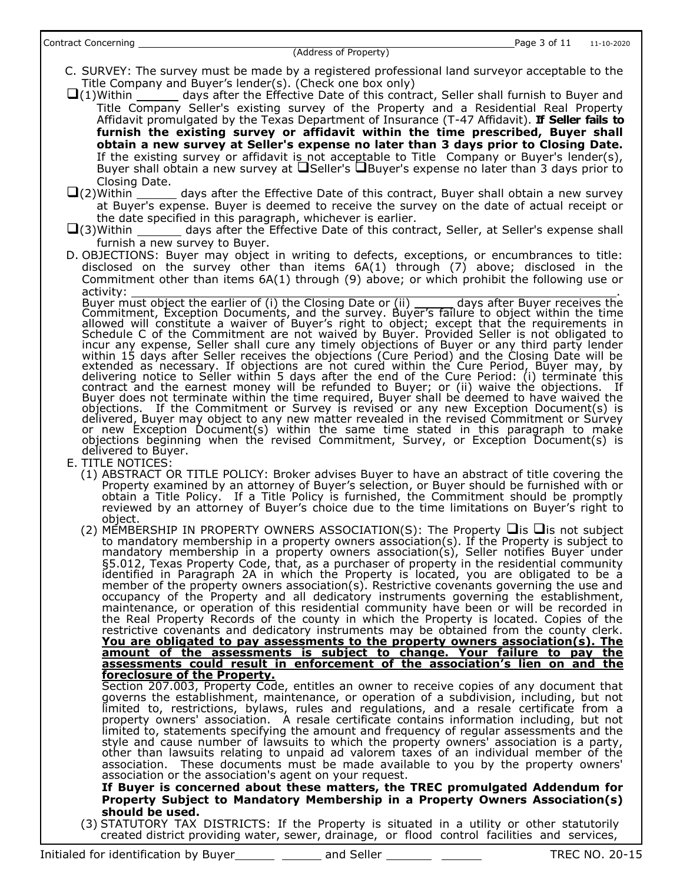(Address of Property) C. SURVEY: The survey must be made by a registered professional land surveyor acceptable to the

Title Company and Buyer's lender(s). (Check one box only)  $\Box(1)$ Within \_\_\_\_\_\_\_\_ days after the Effective Date of this contract, Seller shall furnish to Buyer and Title Company Seller's existing survey of the Property and a Residential Real Property Affidavit promulgated by the Texas Department of Insurance (T-47 Affidavit). **If Seller fails to furnish the existing survey or affidavit within the time prescribed, Buyer shall obtain a new survey at Seller's expense no later than 3 days prior to Closing Date.**  If the existing survey or affidavit is not acceptable to Title Company or Buyer's lender(s), Buyer shall obtain a new survey at  $\square$  Seller's  $\square$  Buyer's expense no later than 3 days prior to Closing Date.<br> **Q**(2)Within \_\_\_\_\_\_\_\_ days after the Effective Date of this contract, Buyer shall obtain a new survey at Buyer's expense. Buyer is deemed to receive the survey on the date of actual receipt or the date specified in this paragraph, whichever is earlier.<br> **Q**(3)Within \_\_\_\_\_\_\_ days after the Effective Date of this conti \_ days after the Effective Date of this contract, Seller, at Seller's expense shall furnish a new survey to Buyer. D. OBJECTIONS: Buyer may object in writing to defects, exceptions, or encumbrances to title: disclosed on the survey other than items 6A(1) through (7) above; disclosed in the Commitment other than items 6A(1) through (9) above; or which prohibit the following use or activity: . Buyer must object the earlier of (i) the Closing Date or (ii) \_\_\_\_\_\_ days after Buyer receives the Commitment, Exception Documents, and the survey. Buyer's failure to object within the time allowed will constitute a waiver of Buyer's right to object; except that the requirements in Schedule C of the Commitment are not waived by Buyer. Provided Seller is not obligated to incur any expense, Seller shall cure any timely objections of Buyer or any third party lender within 15 days after Seller receives the objections (Cure Period) and the Closing Date will be extended as necessary. If objections are not cured within the Cure Period, Buyer may, by delivering notice to Séller within 5 days after the end of the Cure Period: (i) terminate this contract and the earnest money will be refunded to Buyer; or (ii) waive the objections. If Buyer does not terminate within the time required, Buyer shall be deemed to have waived the objections. If the Commitment or Survey is revised or any new Exception Document(s) is delivered, Buyer may object to any new matter revealed in the revised Commitment or Survey or new Exception Document(s) within the same time stated in this paragraph to make objections beginning when the revised Commitment, Survey, or Exception Document(s) is delivered to Buyer. E. TITLE NOTICES: (1) ABSTRACT OR TITLE POLICY: Broker advises Buyer to have an abstract of title covering the Property examined by an attorney of Buyer's selection, or Buyer should be furnished with or obtain a Title Policy. If a Title Policy is furnished, the Commitment should be promptly reviewed by an attorney of Buyer's choice due to the time limitations on Buyer's right to object. (2) MEMBERSHIP IN PROPERTY OWNERS ASSOCIATION(S): The Property  $\Box$  is  $\Box$  is not subject to mandatory membership in a property owners association(s). If the Property is subject to mandatory membership in a property owners association(s), Seller notifies Buyer under §5.012, Texas Property Code, that, as a purchaser of property in the residential community identified in Paragraph 2A in which the Property is located, you are obligated to be a member of the property owners association(s). Restrictive covenants governing the use and occupancy of the Property and all dedicatory instruments governing the establishment, maintenance, or operation of this residential community have been or will be recorded in the Real Property Records of the county in which the Property is located. Copies of the restrictive covenants and dedicatory instruments may be obtained from the county clerk. **You are obligated to pay assessments to the property owners association(s). The amount of the assessments is subject to change. Your failure to pay the assessments could result in enforcement of the association's lien on and the foreclosure of the Property.**  Section 207.003, Property Code, entitles an owner to receive copies of any document that governs the establishment, maintenance, or operation of a subdivision, including, but not limited to, restrictions, bylaws, rules and regulations, and a resale certificate from a property owners' association. A resale certificate contains information including, but not limited to, statements specifying the amount and frequency of regular assessments and the style and cause number of lawsuits to which the property owners' association is a party, other than lawsuits relating to unpaid ad valorem taxes of an individual member of the association. These documents must be made available to you by the property owners' association or the association's agent on your request. **If Buyer is concerned about these matters, the TREC promulgated Addendum for Property Subject to Mandatory Membership in a Property Owners Association(s) should be used.** (3) STATUTORY TAX DISTRICTS: If the Property is situated in a utility or other statutorily created district providing water, sewer, drainage, or flood control facilities and services,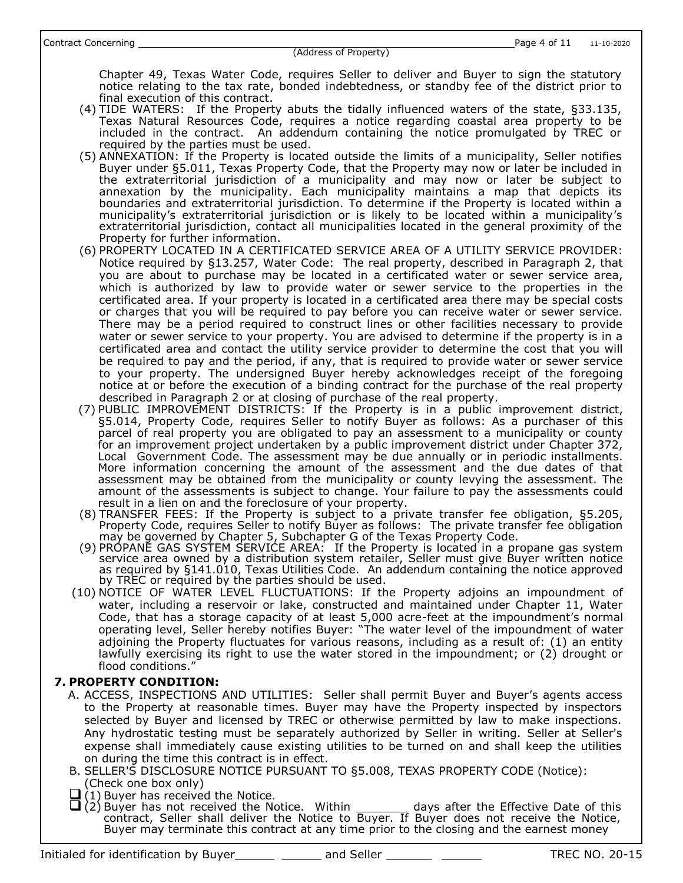Chapter 49, Texas Water Code, requires Seller to deliver and Buyer to sign the statutory notice relating to the tax rate, bonded indebtedness, or standby fee of the district prior to final execution of this contract.

- (4) TIDE WATERS: If the Property abuts the tidally influenced waters of the state, §33.135, Texas Natural Resources Code, requires a notice regarding coastal area property to be included in the contract. An addendum containing the notice promulgated by TREC or required by the parties must be used.
- (5) ANNEXATION: If the Property is located outside the limits of a municipality, Seller notifies Buyer under §5.011, Texas Property Code, that the Property may now or later be included in the extraterritorial jurisdiction of a municipality and may now or later be subject to annexation by the municipality. Each municipality maintains a map that depicts its boundaries and extraterritorial jurisdiction. To determine if the Property is located within a municipality's extraterritorial jurisdiction or is likely to be located within a municipality's extraterritorial jurisdiction, contact all municipalities located in the general proximity of the Property for further information.
- (6) PROPERTY LOCATED IN A CERTIFICATED SERVICE AREA OF A UTILITY SERVICE PROVIDER: Notice required by §13.257, Water Code: The real property, described in Paragraph 2, that you are about to purchase may be located in a certificated water or sewer service area, which is authorized by law to provide water or sewer service to the properties in the certificated area. If your property is located in a certificated area there may be special costs or charges that you will be required to pay before you can receive water or sewer service. There may be a period required to construct lines or other facilities necessary to provide water or sewer service to your property. You are advised to determine if the property is in a certificated area and contact the utility service provider to determine the cost that you will be required to pay and the period, if any, that is required to provide water or sewer service to your property. The undersigned Buyer hereby acknowledges receipt of the foregoing notice at or before the execution of a binding contract for the purchase of the real property described in Paragraph 2 or at closing of purchase of the real property.
- (7) PUBLIC IMPROVEMENT DISTRICTS: If the Property is in a public improvement district, §5.014, Property Code, requires Seller to notify Buyer as follows: As a purchaser of this parcel of real property you are obligated to pay an assessment to a municipality or county for an improvement project undertaken by a public improvement district under Chapter 372, Local Government Code. The assessment may be due annually or in periodic installments. More information concerning the amount of the assessment and the due dates of that assessment may be obtained from the municipality or county levying the assessment. The amount of the assessments is subject to change. Your failure to pay the assessments could result in a lien on and the foreclosure of your property.
- (8) TRANSFER FEES: If the Property is subject to a private transfer fee obligation, §5.205, Property Code, requires Seller to notify Buyer as follows: The private transfer fee obligation may be governed by Chapter 5, Subchapter G of the Texas Property Code.
- (9) PROPANE GAS SYSTEM SERVICE AREA: If the Property is located in a propane gas system service area owned by a distribution system retailer, Seller must give Buyer written notice as required by §141.010, Texas Utilities Code. An addendum containing the notice approved by TREC or required by the parties should be used.
- (10) NOTICE OF WATER LEVEL FLUCTUATIONS: If the Property adjoins an impoundment of water, including a reservoir or lake, constructed and maintained under Chapter 11, Water Code, that has a storage capacity of at least 5,000 acre-feet at the impoundment's normal operating level, Seller hereby notifies Buyer: "The water level of the impoundment of water adjoining the Property fluctuates for various reasons, including as a result of: (1) an entity lawfully exercising its right to use the water stored in the impoundment; or (2) drought or flood conditions."

# **7. PROPERTY CONDITION:**

- A. ACCESS, INSPECTIONS AND UTILITIES: Seller shall permit Buyer and Buyer's agents access to the Property at reasonable times. Buyer may have the Property inspected by inspectors selected by Buyer and licensed by TREC or otherwise permitted by law to make inspections. Any hydrostatic testing must be separately authorized by Seller in writing. Seller at Seller's expense shall immediately cause existing utilities to be turned on and shall keep the utilities on during the time this contract is in effect.
- B. SELLER'S DISCLOSURE NOTICE PURSUANT TO §5.008, TEXAS PROPERTY CODE (Notice): (Check one box only)
- $\mathbf{Q}(1)$  Buyer has received the Notice.
- $\Box$  (2) Buyer has not received the Notice. Within \_\_\_\_\_\_\_\_\_ days after the Effective Date of this contract, Seller shall deliver the Notice to Buyer. If Buyer does not receive the Notice, Buyer may terminate this contract at any time prior to the closing and the earnest money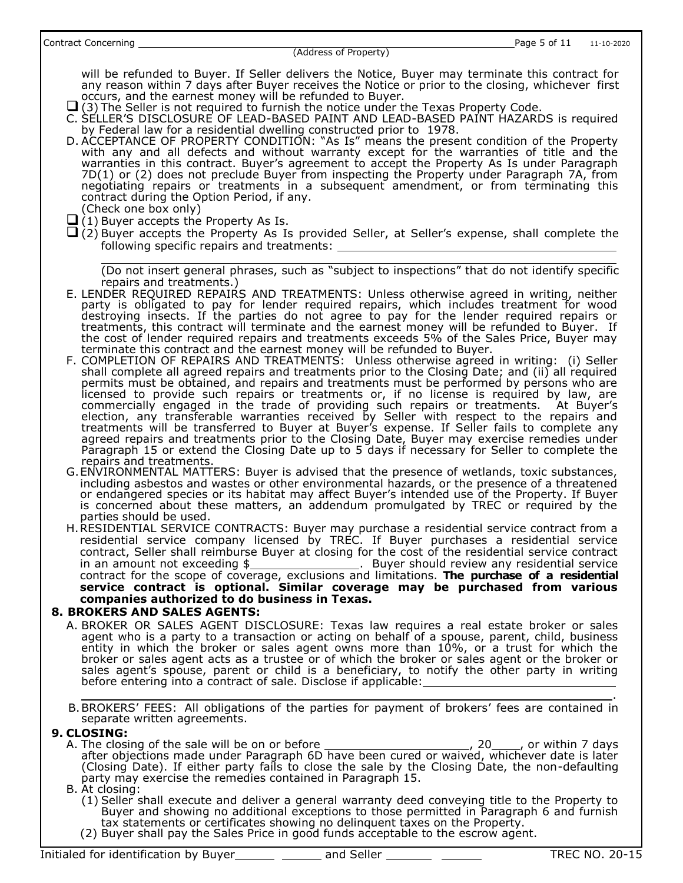will be refunded to Buyer. If Seller delivers the Notice, Buyer may terminate this contract for any reason within 7 days after Buyer receives the Notice or prior to the closing, whichever first occurs, and the earnest money will be refunded to Buyer.  $\Box$  (3) The Seller is not required to furnish the notice under the Texas Property Code. C. SELLER'S DISCLOSURE OF LEAD-BASED PAINT AND LEAD-BASED PAINT HAZARDS is required by Federal law for a residential dwelling constructed prior to 1978. D. ACCEPTANCE OF PROPERTY CONDITION: "As Is" means the present condition of the Property with any and all defects and without warranty except for the warranties of title and the warranties in this contract. Buyer's agreement to accept the Property As Is under Paragraph 7D(1) or (2) does not preclude Buyer from inspecting the Property under Paragraph 7A, from negotiating repairs or treatments in a subsequent amendment, or from terminating this contract during the Option Period, if any. (Check one box only)  $\Box$  (1) Buyer accepts the Property As Is.  $\Box$  (2) Buyer accepts the Property As Is provided Seller, at Seller's expense, shall complete the following specific repairs and treatments: (Do not insert general phrases, such as "subject to inspections" that do not identify specific repairs and treatments.) E. LENDER REQUIRED REPAIRS AND TREATMENTS: Unless otherwise agreed in writing, neither party is obligated to pay for lender required repairs, which includes treatment for wood destroying insects. If the parties do not agree to pay for the lender required repairs or treatments, this contract will terminate and the earnest money will be refunded to Buyer. If the cost of lender required repairs and treatments exceeds 5% of the Sales Price, Buyer may terminate this contract and the earnest money will be refunded to Buyer. F. COMPLETION OF REPAIRS AND TREATMENTS: Unless otherwise agreed in writing: (i) Seller shall complete all agreed repairs and treatments prior to the Closing Date; and (ii) all required permits must be obtained, and repairs and treatments must be performed by persons who are licensed to provide such repairs or treatments or, if no license is required by law, are commercially engaged in the trade of providing such repairs or treatments. At Buyer's election, any transferable warranties received by Seller with respect to the repairs and treatments will be transferred to Buyer at Buyer's expense. If Seller fails to complete any agreed repairs and treatments prior to the Closing Date, Buyer may exercise remedies under Paragraph 15 or extend the Closing Date up to 5 days if necessary for Seller to complete the repairs and treatments. G.ENVIRONMENTAL MATTERS: Buyer is advised that the presence of wetlands, toxic substances, including asbestos and wastes or other environmental hazards, or the presence of a threatened or endangered species or its habitat may affect Buyer's intended use of the Property. If Buyer is concerned about these matters, an addendum promulgated by TREC or required by the parties should be used. H.RESIDENTIAL SERVICE CONTRACTS: Buyer may purchase a residential service contract from a residential service company licensed by TREC. If Buyer purchases a residential service contract, Seller shall reimburse Buyer at closing for the cost of the residential service contract in an amount not exceeding \$\_\_\_\_\_\_\_\_\_\_\_\_\_\_\_\_\_\_\_. Buyer should review any residential service contract for the scope of coverage, exclusions and limitations. **The purchase of a residential service contract is optional. Similar coverage may be purchased from various companies authorized to do business in Texas. 8. BROKERS AND SALES AGENTS:**  A. BROKER OR SALES AGENT DISCLOSURE: Texas law requires a real estate broker or sales agent who is a party to a transaction or acting on behalf of a spouse, parent, child, business entity in which the broker or sales agent owns more than 10%, or a trust for which the broker or sales agent acts as a trustee or of which the broker or sales agent or the broker or sales agent's spouse, parent or child is a beneficiary, to notify the other party in writing before entering into a contract of sale. Disclose if applicable: . B.BROKERS' FEES: All obligations of the parties for payment of brokers' fees are contained in separate written agreements. **9. CLOSING:** A. The closing of the sale will be on or before  $\sim$  , 20 , or within 7 days after objections made under Paragraph 6D have been cured or waived, whichever date is later (Closing Date). If either party fails to close the sale by the Closing Date, the non-defaulting party may exercise the remedies contained in Paragraph 15. B. At closing: (1) Seller shall execute and deliver a general warranty deed conveying title to the Property to Buyer and showing no additional exceptions to those permitted in Paragraph 6 and furnish tax statements or certificates showing no delinquent taxes on the Property.

(2) Buyer shall pay the Sales Price in good funds acceptable to the escrow agent.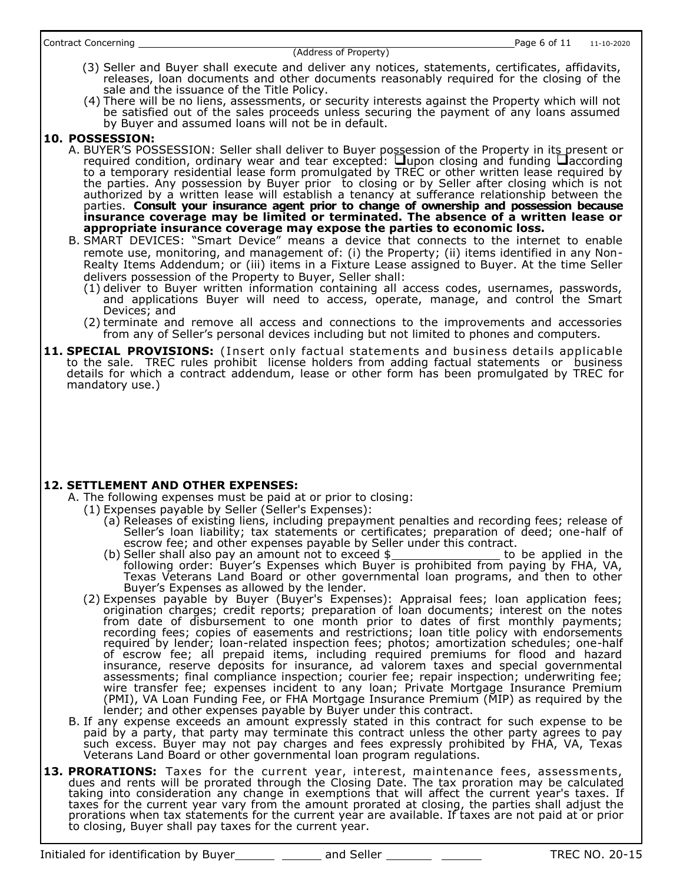- (3) Seller and Buyer shall execute and deliver any notices, statements, certificates, affidavits, releases, loan documents and other documents reasonably required for the closing of the sale and the issuance of the Title Policy.
- (4) There will be no liens, assessments, or security interests against the Property which will not be satisfied out of the sales proceeds unless securing the payment of any loans assumed by Buyer and assumed loans will not be in default.

### **10. POSSESSION:**

- A. BUYER'S POSSESSION: Seller shall deliver to Buyer possession of the Property in its present or required condition, ordinary wear and tear excepted:  $\Box$ upon closing and funding  $\Box$ according to a temporary residential lease form promulgated by TREC or other written lease required by the parties. Any possession by Buyer prior to closing or by Seller after closing which is not authorized by a written lease will establish a tenancy at sufferance relationship between the parties. **Consult your insurance agent prior to change of ownership and possession because insurance coverage may be limited or terminated. The absence of a written lease or appropriate insurance coverage may expose the parties to economic loss.**
- B. SMART DEVICES: "Smart Device" means a device that connects to the internet to enable remote use, monitoring, and management of: (i) the Property; (ii) items identified in any Non-Realty Items Addendum; or (iii) items in a Fixture Lease assigned to Buyer. At the time Seller delivers possession of the Property to Buyer, Seller shall:
	- (1) deliver to Buyer written information containing all access codes, usernames, passwords, and applications Buyer will need to access, operate, manage, and control the Smart Devices; and
	- (2) terminate and remove all access and connections to the improvements and accessories from any of Seller's personal devices including but not limited to phones and computers.
- **11. SPECIAL PROVISIONS:** (Insert only factual statements and business details applicable to the sale. TREC rules prohibit license holders from adding factual statements or business details for which a contract addendum, lease or other form has been promulgated by TREC for mandatory use.)

# **12. SETTLEMENT AND OTHER EXPENSES:**

- A. The following expenses must be paid at or prior to closing:
	- (1) Expenses payable by Seller (Seller's Expenses):
		- (a) Releases of existing liens, including prepayment penalties and recording fees; release of Seller's loan liability; tax statements or certificates; preparation of deed; one-half of escrow fee; and other expenses payable by Seller under this contract.
		- (b) Seller shall also pay an amount not to exceed  $\frac{1}{2}$  to be applied in the following order: Buyer's Expenses which Buyer is prohibited from paying by FHA, VA, Texas Veterans Land Board or other governmental loan programs, and then to other Buyer's Expenses as allowed by the lender.
	- (2) Expenses payable by Buyer (Buyer's Expenses): Appraisal fees; loan application fees; origination charges; credit reports; preparation of loan documents; interest on the notes from date of disbursement to one month prior to dates of first monthly payments; recording fees; copies of easements and restrictions; loan title policy with endorsements required by lender; loan-related inspection fees; photos; amortization schedules; one-half of escrow fee; all prepaid items, including required premiums for flood and hazard insurance, reserve deposits for insurance, ad valorem taxes and special governmental assessments; final compliance inspection; courier fee; repair inspection; underwriting fee; wire transfer fee; expenses incident to any loan; Private Mortgage Insurance Premium (PMI), VA Loan Funding Fee, or FHA Mortgage Insurance Premium (MIP) as required by the lender; and other expenses payable by Buyer under this contract.
- B. If any expense exceeds an amount expressly stated in this contract for such expense to be paid by a party, that party may terminate this contract unless the other party agrees to pay such excess. Buyer may not pay charges and fees expressly prohibited by FHA, VA, Texas Veterans Land Board or other governmental loan program regulations.
- **13. PRORATIONS:** Taxes for the current year, interest, maintenance fees, assessments, dues and rents will be prorated through the Closing Date. The tax proration may be calculated taking into consideration any change in exemptions that will affect the current year's taxes. If taxes for the current year vary from the amount prorated at closing, the parties shall adjust the prorations when tax statements for the current year are available. If taxes are not paid at or prior to closing, Buyer shall pay taxes for the current year.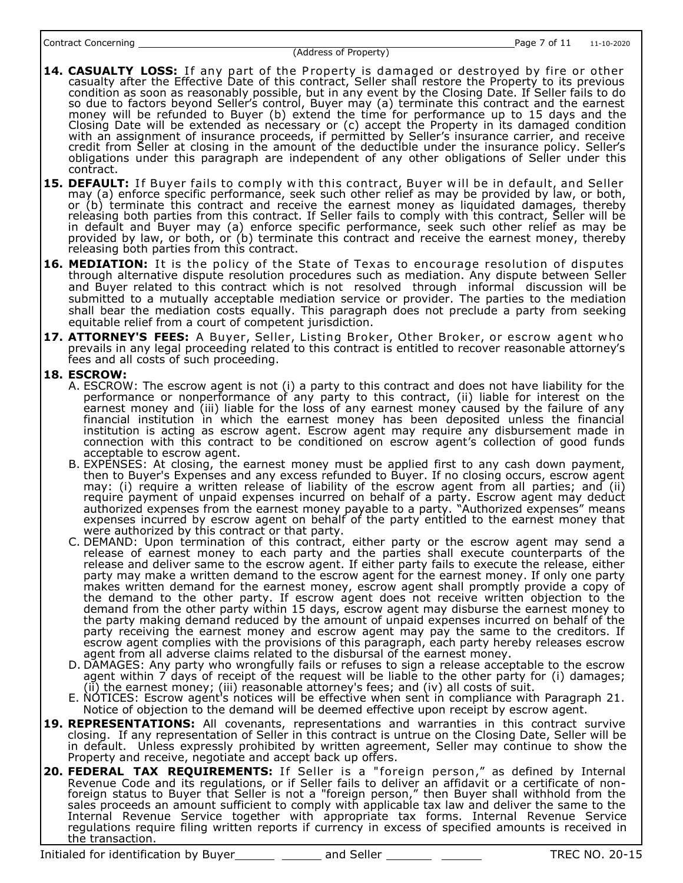- **14. CASUALTY LOSS:** If any part of the Property is damaged or destroyed by fire or other casualty after the Effective Date of this contract, Seller shall restore the Property to its previous condition as soon as reasonably possible, but in any event by the Closing Date. If Seller fails to do so due to factors beyond Seller's control, Buyer may (a) terminate this contract and the earnest money will be refunded to Buyer (b) extend the time for performance up to 15 days and the Closing Date will be extended as necessary or (c) accept the Property in its damaged condition with an assignment of insurance proceeds, if permitted by Seller's insurance carrier, and receive credit from Seller at closing in the amount of the deductible under the insurance policy. Seller's obligations under this paragraph are independent of any other obligations of Seller under this contract.
- **15. DEFAULT:** If Buyer fails to comply with this contract, Buyer will be in default, and Seller may (a) enforce specific performance, seek such other relief as may be provided by law, or both, or (b) terminate this contract and receive the earnest money as liquidated damages, thereby releasing both parties from this contract. If Seller fails to comply with this contract, Seller will be in default and Buyer may (a) enforce specific performance, seek such other relief as may be provided by law, or both, or (b) terminate this contract and receive the earnest money, thereby releasing both parties from this contract.
- **16. MEDIATION:** It is the policy of the State of Texas to encourage resolution of disputes through alternative dispute resolution procedures such as mediation. Any dispute between Seller and Buyer related to this contract which is not resolved through informal discussion will be submitted to a mutually acceptable mediation service or provider. The parties to the mediation shall bear the mediation costs equally. This paragraph does not preclude a party from seeking equitable relief from a court of competent jurisdiction.
- **17. ATTORNEY'S FEES:** A Buyer, Seller, Listing Broker, Other Broker, or escrow agent w ho prevails in any legal proceeding related to this contract is entitled to recover reasonable attorney's fees and all costs of such proceeding.

### **18. ESCROW:**

- A. ESCROW: The escrow agent is not (i) a party to this contract and does not have liability for the performance or nonperformance of any party to this contract, (ii) liable for interest on the earnest money and (iii) liable for the loss of any earnest money caused by the failure of any financial institution in which the earnest money has been deposited unless the financial institution is acting as escrow agent. Escrow agent may require any disbursement made in connection with this contract to be conditioned on escrow agent's collection of good funds acceptable to escrow agent.
- B. EXPENSES: At closing, the earnest money must be applied first to any cash down payment, then to Buyer's Expenses and any excess refunded to Buyer. If no closing occurs, escrow agent may: (i) require a written release of liability of the escrow agent from all parties; and (ii) require payment of unpaid expenses incurred on behalf of a party. Escrow agent may deduct authorized expenses from the earnest money payable to a party. "Authorized expenses" means expenses incurred by escrow agent on behalf of the party entitled to the earnest money that were authorized by this contract or that party.
- C. DEMAND: Upon termination of this contract, either party or the escrow agent may send a release of earnest money to each party and the parties shall execute counterparts of the release and deliver same to the escrow agent. If either party fails to execute the release, either party may make a written demand to the escrow agent for the earnest money. If only one party makes written demand for the earnest money, escrow agent shall promptly provide a copy of the demand to the other party. If escrow agent does not receive written objection to the demand from the other party within 15 days, escrow agent may disburse the earnest money to the party making demand reduced by the amount of unpaid expenses incurred on behalf of the party receiving the earnest money and escrow agent may pay the same to the creditors. If escrow agent complies with the provisions of this paragraph, each party hereby releases escrow agent from all adverse claims related to the disbursal of the earnest money.
- D. DAMAGES: Any party who wrongfully fails or refuses to sign a release acceptable to the escrow agent within 7 days of receipt of the request will be liable to the other party for (i) damages; (ii) the earnest money; (iii) reasonable attorney's fees; and (iv) all costs of suit.
- E. NOTICES: Escrow agent's notices will be effective when sent in compliance with Paragraph 21. Notice of objection to the demand will be deemed effective upon receipt by escrow agent.
- **19. REPRESENTATIONS:** All covenants, representations and warranties in this contract survive closing. If any representation of Seller in this contract is untrue on the Closing Date, Seller will be in default. Unless expressly prohibited by written agreement, Seller may continue to show the Property and receive, negotiate and accept back up offers.
- **20. FEDERAL TAX REQUIREMENTS:** If Seller is a "foreign person," as defined by Internal Revenue Code and its regulations, or if Seller fails to deliver an affidavit or a certificate of nonforeign status to Buyer that Seller is not a "foreign person," then Buyer shall withhold from the sales proceeds an amount sufficient to comply with applicable tax law and deliver the same to the Internal Revenue Service together with appropriate tax forms. Internal Revenue Service regulations require filing written reports if currency in excess of specified amounts is received in the transaction.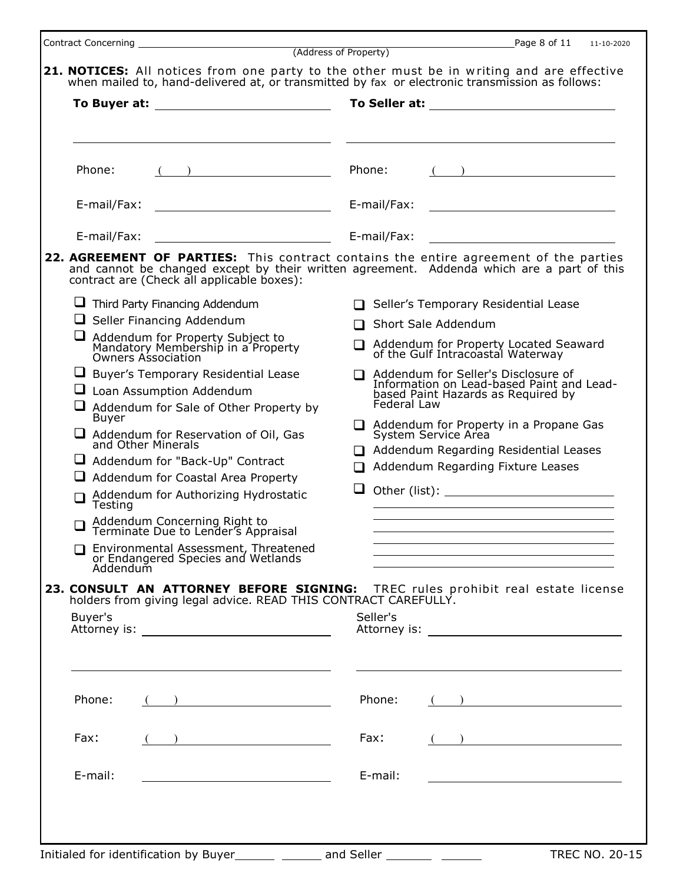|                                                                                                                                                                                                                                                                                                                                            | Page 8 of 11<br>11-10-2020<br><u> 1989 - Johann Barnett, fransk politiker (</u>                                                                                                                                                                                                                                                                                             |
|--------------------------------------------------------------------------------------------------------------------------------------------------------------------------------------------------------------------------------------------------------------------------------------------------------------------------------------------|-----------------------------------------------------------------------------------------------------------------------------------------------------------------------------------------------------------------------------------------------------------------------------------------------------------------------------------------------------------------------------|
| when mailed to, hand-delivered at, or transmitted by fax or electronic transmission as follows:                                                                                                                                                                                                                                            | 21. NOTICES: All notices from one party to the other must be in writing and are effective                                                                                                                                                                                                                                                                                   |
|                                                                                                                                                                                                                                                                                                                                            | To Seller at: <u>with a series of the series of the series of the series of the series of the series of the series of the series of the series of the series of the series of the series of the series of the series of the seri</u>                                                                                                                                        |
| Phone:<br>$\overline{a}$ ( )                                                                                                                                                                                                                                                                                                               | Phone:<br>$\begin{pmatrix} 1 & 1 \\ 1 & 1 \end{pmatrix}$                                                                                                                                                                                                                                                                                                                    |
| E-mail/Fax:<br><b>E-mail/Fax:</b>                                                                                                                                                                                                                                                                                                          |                                                                                                                                                                                                                                                                                                                                                                             |
| E-mail/Fax:                                                                                                                                                                                                                                                                                                                                | E-mail/Fax:<br><u> 1989 - Jan Samuel Barbara, margaret e</u>                                                                                                                                                                                                                                                                                                                |
| contract are (Check all applicable boxes):                                                                                                                                                                                                                                                                                                 | 22. AGREEMENT OF PARTIES: This contract contains the entire agreement of the parties<br>and cannot be changed except by their written agreement. Addenda which are a part of this                                                                                                                                                                                           |
| $\blacksquare$ Third Party Financing Addendum                                                                                                                                                                                                                                                                                              | Seller's Temporary Residential Lease                                                                                                                                                                                                                                                                                                                                        |
| Seller Financing Addendum                                                                                                                                                                                                                                                                                                                  | Short Sale Addendum                                                                                                                                                                                                                                                                                                                                                         |
| Addendum for Property Subject to<br>Mandatory Membership in a Property<br>Owners Association                                                                                                                                                                                                                                               | Addendum for Property Located Seaward<br>of the Gulf Intracoastal Waterway                                                                                                                                                                                                                                                                                                  |
| ■ Buyer's Temporary Residential Lease                                                                                                                                                                                                                                                                                                      | Addendum for Seller's Disclosure of<br>Information on Lead-based Paint and Lead-                                                                                                                                                                                                                                                                                            |
| <b>Q</b> Loan Assumption Addendum<br>$\Box$ Addendum for Sale of Other Property by                                                                                                                                                                                                                                                         | based Paint Hazards as Required by<br>Federal Law                                                                                                                                                                                                                                                                                                                           |
| Buyer                                                                                                                                                                                                                                                                                                                                      | Addendum for Property in a Propane Gas                                                                                                                                                                                                                                                                                                                                      |
| Addendum for Reservation of Oil, Gas<br>and Other Minerals                                                                                                                                                                                                                                                                                 | System Service Area                                                                                                                                                                                                                                                                                                                                                         |
| Addendum for "Back-Up" Contract                                                                                                                                                                                                                                                                                                            | Addendum Regarding Residential Leases<br>Addendum Regarding Fixture Leases                                                                                                                                                                                                                                                                                                  |
| Addendum for Coastal Area Property                                                                                                                                                                                                                                                                                                         |                                                                                                                                                                                                                                                                                                                                                                             |
| Addendum for Authorizing Hydrostatic<br>О<br>Testing                                                                                                                                                                                                                                                                                       | O                                                                                                                                                                                                                                                                                                                                                                           |
| Addendum Concerning Right to<br>Terminate Due to Lender's Appraisal                                                                                                                                                                                                                                                                        |                                                                                                                                                                                                                                                                                                                                                                             |
| Environmental Assessment, Threatened<br>or Endangered Species and Wetlands<br>Addendum                                                                                                                                                                                                                                                     |                                                                                                                                                                                                                                                                                                                                                                             |
| holders from giving legal advice. READ THIS CONTRACT CAREFULLY.                                                                                                                                                                                                                                                                            | 23. CONSULT AN ATTORNEY BEFORE SIGNING: TREC rules prohibit real estate license                                                                                                                                                                                                                                                                                             |
| Buyer's<br>Attorney is: Note and the set of the set of the set of the set of the set of the set of the set of the set of the set of the set of the set of the set of the set of the set of the set of the set of the set of the set of th                                                                                                  | Seller's                                                                                                                                                                                                                                                                                                                                                                    |
|                                                                                                                                                                                                                                                                                                                                            |                                                                                                                                                                                                                                                                                                                                                                             |
|                                                                                                                                                                                                                                                                                                                                            |                                                                                                                                                                                                                                                                                                                                                                             |
| Phone:<br>$\overline{a}$ ( )                                                                                                                                                                                                                                                                                                               | Phone:<br>$\begin{pmatrix} 1 & 1 \\ 1 & 1 \end{pmatrix}$                                                                                                                                                                                                                                                                                                                    |
| $\overline{a}$ ( ) and $\overline{a}$ and $\overline{a}$ and $\overline{a}$ and $\overline{a}$ and $\overline{a}$ and $\overline{a}$ and $\overline{a}$ and $\overline{a}$ and $\overline{a}$ and $\overline{a}$ and $\overline{a}$ and $\overline{a}$ and $\overline{a}$ and $\overline{a}$ and $\overline{a}$ and $\overline{a}$<br>Fax: | $\begin{picture}(20,10) \put(0,0){\vector(1,0){100}} \put(15,0){\vector(1,0){100}} \put(15,0){\vector(1,0){100}} \put(15,0){\vector(1,0){100}} \put(15,0){\vector(1,0){100}} \put(15,0){\vector(1,0){100}} \put(15,0){\vector(1,0){100}} \put(15,0){\vector(1,0){100}} \put(15,0){\vector(1,0){100}} \put(15,0){\vector(1,0){100}} \put(15,0){\vector(1,0){100}} \$<br>Fax: |
| E-mail:<br><u> 1990 - Johann Barbara, martin a</u>                                                                                                                                                                                                                                                                                         | E-mail:                                                                                                                                                                                                                                                                                                                                                                     |
|                                                                                                                                                                                                                                                                                                                                            |                                                                                                                                                                                                                                                                                                                                                                             |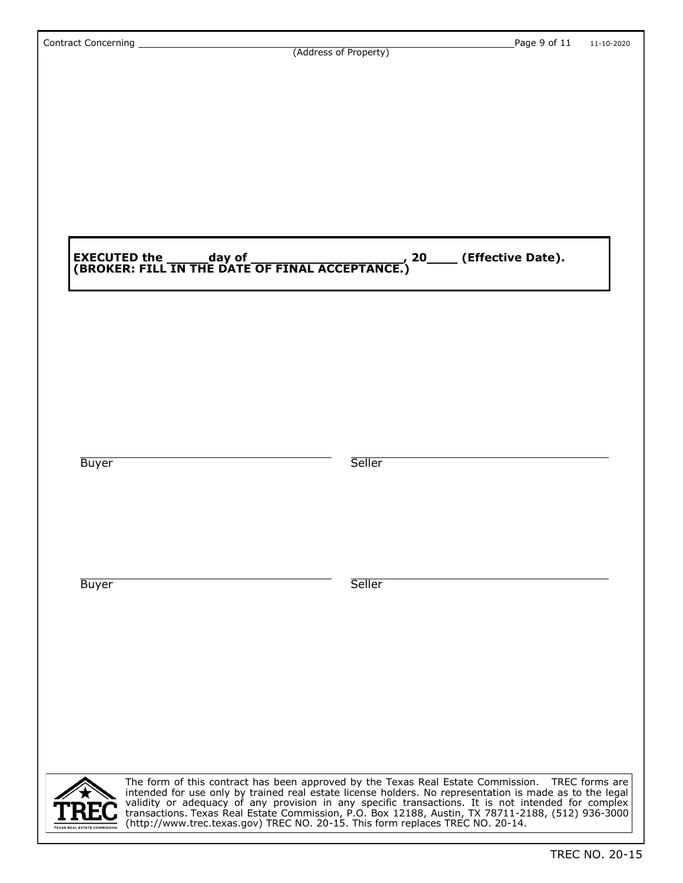|              | 20____ (Effective Date).                                                                           |
|--------------|----------------------------------------------------------------------------------------------------|
|              |                                                                                                    |
|              |                                                                                                    |
| <b>Buyer</b> | Seller                                                                                             |
| <b>Buyer</b> | Seller                                                                                             |
|              |                                                                                                    |
|              |                                                                                                    |
|              | The form of this contract has been approved by the Texas Real Estate Commission.<br>TREC forms are |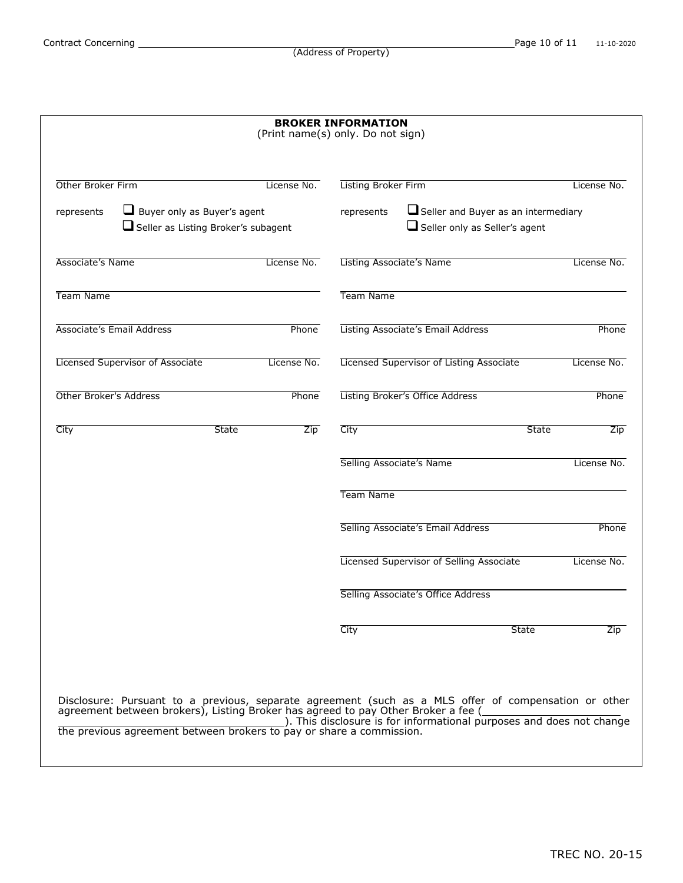| Other Broker Firm                                                                               | License No. | Listing Broker Firm                                                                                                                                                                                                            | License No.         |
|-------------------------------------------------------------------------------------------------|-------------|--------------------------------------------------------------------------------------------------------------------------------------------------------------------------------------------------------------------------------|---------------------|
| $\blacksquare$ Buyer only as Buyer's agent<br>represents<br>Seller as Listing Broker's subagent |             | Seller and Buyer as an intermediary<br>represents<br>Seller only as Seller's agent                                                                                                                                             |                     |
| Associate's Name                                                                                | License No. | Listing Associate's Name                                                                                                                                                                                                       | License No.         |
| <b>Team Name</b>                                                                                |             | Team Name                                                                                                                                                                                                                      |                     |
| Associate's Email Address                                                                       | Phone       | Listing Associate's Email Address                                                                                                                                                                                              | Phone               |
| Licensed Supervisor of Associate                                                                | License No. | Licensed Supervisor of Listing Associate                                                                                                                                                                                       | License No.         |
| Other Broker's Address                                                                          | Phone       | Listing Broker's Office Address                                                                                                                                                                                                | Phone               |
| City<br><b>State</b>                                                                            | Zip         | City                                                                                                                                                                                                                           | <b>State</b><br>Zip |
|                                                                                                 |             | Selling Associate's Name                                                                                                                                                                                                       | License No.         |
|                                                                                                 |             | Team Name                                                                                                                                                                                                                      |                     |
|                                                                                                 |             | Selling Associate's Email Address                                                                                                                                                                                              | Phone               |
|                                                                                                 |             | Licensed Supervisor of Selling Associate                                                                                                                                                                                       | License No.         |
|                                                                                                 |             | Selling Associate's Office Address                                                                                                                                                                                             |                     |
|                                                                                                 |             | City                                                                                                                                                                                                                           | State<br>Zip        |
|                                                                                                 |             | Disclosure: Pursuant to a previous, separate agreement (such as a MLS offer of compensation or other agreement between brokers), Listing Broker has agreed to pay Other Broker a fee (  The previous agreement between brokers |                     |